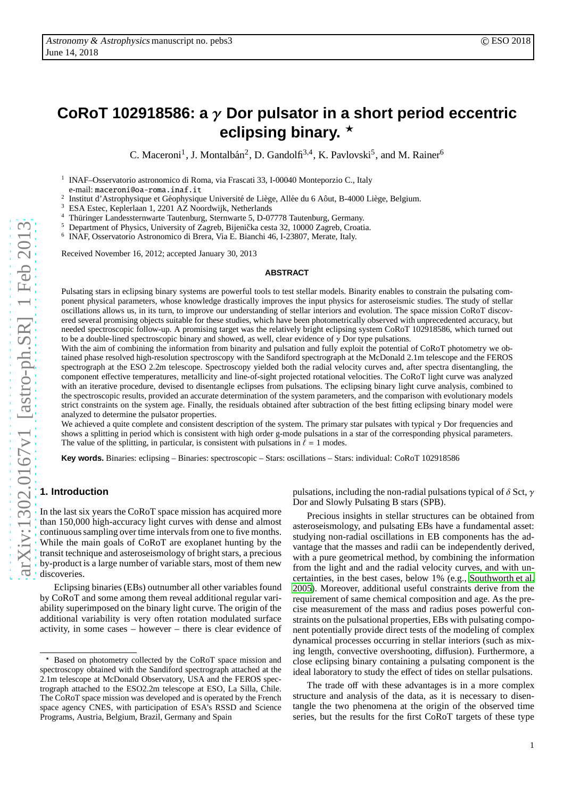# **CoRoT 102918586: a** γ **Dor pulsator in a short period eccentric eclipsing binary.** ⋆

C. Maceroni<sup>1</sup>, J. Montalbán<sup>2</sup>, D. Gandolfi<sup>3,4</sup>, K. Pavlovski<sup>5</sup>, and M. Rainer<sup>6</sup>

1 INAF–Osservatorio astronomico di Roma, via Frascati 33, I-00040 Monteporzio C., Italy

e-mail: maceroni@oa-roma.inaf.it

 $\overline{2}$ Institut d'Astrophysique et Géophysique Université de Liège, Allée du 6 Aôut, B-4000 Liège, Belgium.

<sup>3</sup> ESA Estec, Keplerlaan 1, 2201 AZ Noordwijk, Netherlands

<sup>4</sup> Thüringer Landessternwarte Tautenburg, Sternwarte 5, D-07778 Tautenburg, Germany.<br>
<sup>5</sup> Department of Physics, University of Zegrah, Bijenička gesta 32, 10000 Zegrah, Greeti

Department of Physics, University of Zagreb, Bijenička cesta 32, 10000 Zagreb, Croatia.

6 INAF, Osservatorio Astronomico di Brera, Via E. Bianchi 46, I-23807, Merate, Italy.

Received November 16, 2012; accepted January 30, 2013

#### **ABSTRACT**

Pulsating stars in eclipsing binary systems are powerful tools to test stellar models. Binarity enables to constrain the pulsating component physical parameters, whose knowledge drastically improves the input physics for asteroseismic studies. The study of stellar oscillations allows us, in its turn, to improve our understanding of stellar interiors and evolution. The space mission CoRoT discovered several promising objects suitable for these studies, which have been photometrically observed with unprecedented accuracy, but needed spectroscopic follow-up. A promising target was the relatively bright eclipsing system CoRoT 102918586, which turned out to be a double-lined spectroscopic binary and showed, as well, clear evidence of  $\gamma$  Dor type pulsations.

With the aim of combining the information from binarity and pulsation and fully exploit the potential of CoRoT photometry we obtained phase resolved high-resolution spectroscopy with the Sandiford spectrograph at the McDonald 2.1m telescope and the FEROS spectrograph at the ESO 2.2m telescope. Spectroscopy yielded both the radial velocity curves and, after spectra disentangling, the component e ffective temperatures, metallicity and line-of-sight projected rotational velocities. The CoRoT light curve was analyzed with an iterative procedure, devised to disentangle eclipses from pulsations. The eclipsing binary light curve analysis, combined to the spectroscopic results, provided an accurate determination of the system parameters, and the comparison with evolutionary models strict constraints on the system age. Finally, the residuals obtained after subtraction of the best fitting eclipsing binary model were analyzed to determine the pulsator properties.

We achieved a quite complete and consistent description of the system. The primary star pulsates with typical  $\gamma$  Dor frequencies and shows a splitting in period which is consistent with high order g-mode pulsations in a star of the corresponding physical parameters. The value of the splitting, in particular, is consistent with pulsations in  $\ell = 1$  modes.

**Key words.** Binaries: eclipsing – Binaries: spectroscopic – Stars: oscillations – Stars: individual: CoRoT 102918586

# **1. Introduction**

In the last six years the CoRoT space mission has acquired mor e than 150,000 high-accuracy light curves with dense and almost continuous sampling over time intervals from one to five months. While the main goals of CoRoT are exoplanet hunting by the transit technique and asteroseismology of bright stars, a precious by-product is a large number of variable stars, most of them new discoveries.

Eclipsing binaries (EBs) outnumber all other variables found by CoRoT and some among them reveal additional regular variability superimposed on the binary light curve. The origin of the additional variability is very often rotation modulated surface activity, in some cases – however – there is clear evidence of

pulsations, including the non-radial pulsations typical of  $\delta$  Sct,  $\gamma$ Dor and Slowly Pulsating B stars (SPB).

Precious insights in stellar structures can be obtained fro m asteroseismology, and pulsating EBs have a fundamental asset: studying non-radial oscillations in EB components has the advantage that the masses and radii can be independently derived, with a pure geometrical method, by combining the informatio n from the light and and the radial velocity curves, and with un certainties, in the best cases, below 1% (e.g., [Southworth et al.](#page-11-0) [2005\)](#page-11-0). Moreover, additional useful constraints derive from the requirement of same chemical composition and age. As the pre cise measurement of the mass and radius poses powerful constraints on the pulsational properties, EBs with pulsating component potentially provide direct tests of the modeling of complex dynamical processes occurring in stellar interiors (such as mixing length, convective overshooting, diffusion). Furthermore, a close eclipsing binary containing a pulsating component is the ideal laboratory to study the e ffect of tides on stellar pulsations.

The trade o ff with these advantages is in a more complex structure and analysis of the data, as it is necessary to disentangle the two phenomena at the origin of the observed time series, but the results for the first CoRoT targets of these type

Based on photometry collected by the CoRoT space mission and spectroscopy obtained with the Sandiford spectrograph attached at the 2.1m telescope at McDonald Observatory, USA and the FEROS spectrograph attached to the ESO2.2m telescope at ESO, La Silla, Chile. The CoRoT space mission was developed and is operated by the French space agency CNES, with participation of ESA's RSSD and Science Programs, Austria, Belgium, Brazil, Germany and Spain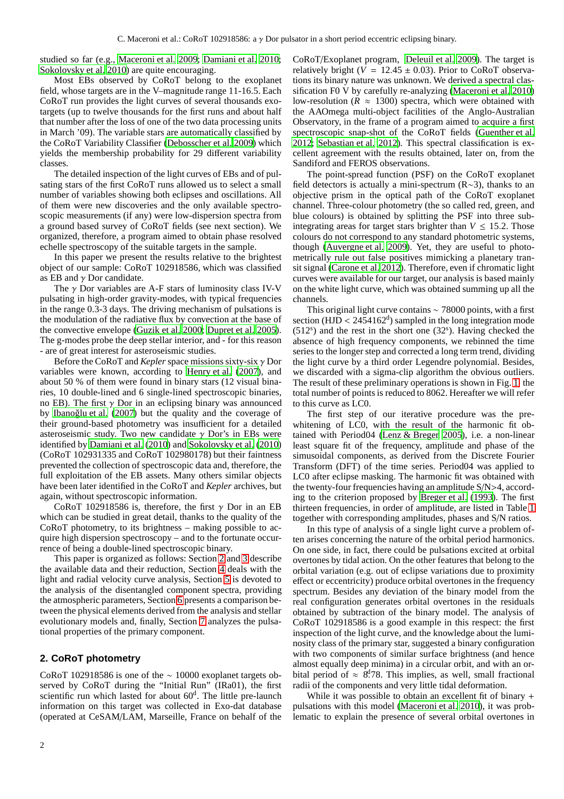studied so far (e.g., [Maceroni et al. 2009;](#page-11-1) [Damiani et al. 2010](#page-11-2); [Sokolovsky et al. 2010](#page-11-3)) are quite encouraging.

Most EBs observed by CoRoT belong to the exoplanet field, whose targets are in the V–magnitude range 11-16.5. Each CoRoT run provides the light curves of several thousands exotargets (up to twelve thousands for the first runs and about half that number after the loss of one of the two data processing units in March '09). The variable stars are automatically classified by the CoRoT Variability Classifier [\(Debosscher et al. 2009\)](#page-11-4) which yields the membership probability for 29 different variability classes.

The detailed inspection of the light curves of EBs and of pulsating stars of the first CoRoT runs allowed us to select a small number of variables showing both eclipses and oscillations. All of them were new discoveries and the only available spectroscopic measurements (if any) were low-dispersion spectra from a ground based survey of CoRoT fields (see next section). We organized, therefore, a program aimed to obtain phase resolved echelle spectroscopy of the suitable targets in the sample.

In this paper we present the results relative to the brightest object of our sample: CoRoT 102918586, which was classified as EB and  $\gamma$  Dor candidate.

The  $\gamma$  Dor variables are A-F stars of luminosity class IV-V pulsating in high-order gravity-modes, with typical frequencies in the range 0.3-3 days. The driving mechanism of pulsations is the modulation of the radiative flux by convection at the base of the convective envelope [\(Guzik et al. 2000](#page-11-5); [Dupret et al. 2005](#page-11-6)). The g-modes probe the deep stellar interior, and - for this reason - are of great interest for asteroseismic studies.

Before the CoRoT and *Kepler* space missions sixty-six γ Dor variables were known, according to [Henry et al. \(2007](#page-11-7)), and about 50 % of them were found in binary stars (12 visual binaries, 10 double-lined and 6 single-lined spectroscopic binaries, no EB). The first  $\gamma$  Dor in an eclipsing binary was announced by Ibanoğlu et al. (2007) but the quality and the coverage of their ground-based photometry was insufficient for a detailed asteroseismic study. Two new candidate  $\gamma$  Dor's in EBs were identified by [Damiani et al.](#page-11-2) [\(2010\)](#page-11-2) and [Sokolovsky et al.](#page-11-3) [\(2010\)](#page-11-3) (CoRoT 102931335 and CoRoT 102980178) but their faintness prevented the collection of spectroscopic data and, therefore, the full exploitation of the EB assets. Many others similar objects have been later identified in the CoRoT and *Kepler* archives, but again, without spectroscopic information.

CoRoT 102918586 is, therefore, the first  $\gamma$  Dor in an EB which can be studied in great detail, thanks to the quality of the CoRoT photometry, to its brightness – making possible to acquire high dispersion spectroscopy – and to the fortunate occurrence of being a double-lined spectroscopic binary.

This paper is organized as follows: Section [2](#page-1-0) and [3](#page-2-0) describe the available data and their reduction, Section [4](#page-3-0) deals with the light and radial velocity curve analysis, Section [5](#page-5-0) is devoted to the analysis of the disentangled component spectra, providing the atmospheric parameters, Section [6](#page-7-0) presents a comparison between the physical elements derived from the analysis and stellar evolutionary models and, finally, Section [7](#page-8-0) analyzes the pulsational properties of the primary component.

# <span id="page-1-0"></span>**2. CoRoT photometry**

CoRoT 102918586 is one of the ∼ 10000 exoplanet targets observed by CoRoT during the "Initial Run" (IRa01), the first scientific run which lasted for about 60<sup>d</sup>. The little pre-launch information on this target was collected in Exo-dat database (operated at CeSAM/LAM, Marseille, France on behalf of the

CoRoT/Exoplanet program, [Deleuil et al. 2009\)](#page-11-9). The target is relatively bright ( $V = 12.45 \pm 0.03$ ). Prior to CoRoT observations its binary nature was unknown. We derived a spectral classification F0 V by carefully re-analyzing [\(Maceroni et al. 2010\)](#page-11-10) low-resolution ( $\hat{R} \approx 1300$ ) spectra, which were obtained with the AAOmega multi-object facilities of the Anglo-Australian Observatory, in the frame of a program aimed to acquire a first spectroscopic snap-shot of the CoRoT fields [\(Guenther et al.](#page-11-11) [2012;](#page-11-11) [Sebastian et al. 2012](#page-11-12)). This spectral classification is excellent agreement with the results obtained, later on, from the Sandiford and FEROS observations.

The point-spread function (PSF) on the CoRoT exoplanet field detectors is actually a mini-spectrum (R∼3), thanks to an objective prism in the optical path of the CoRoT exoplanet channel. Three-colour photometry (the so called red, green, and blue colours) is obtained by splitting the PSF into three subintegrating areas for target stars brighter than  $V \leq 15.2$ . Those colours do not correspond to any standard photometric systems, though [\(Auvergne et al. 2009](#page-11-13)). Yet, they are useful to photometrically rule out false positives mimicking a planetary transit signal [\(Carone et al. 2012\)](#page-11-14). Therefore, even if chromatic light curves were available for our target, our analysis is based mainly on the white light curve, which was obtained summing up all the channels.

This original light curve contains ∼ 78000 points, with a first section (HJD <  $2454162<sup>d</sup>$ ) sampled in the long integration mode (512<sup>s</sup> ) and the rest in the short one (32<sup>s</sup> ). Having checked the absence of high frequency components, we rebinned the time series to the longer step and corrected a long term trend, dividing the light curve by a third order Legendre polynomial. Besides, we discarded with a sigma-clip algorithm the obvious outliers. The result of these preliminary operations is shown in Fig. [1,](#page-2-1) the total number of points is reduced to 8062. Hereafter we will refer to this curve as LC0.

The first step of our iterative procedure was the prewhitening of LC0, with the result of the harmonic fit obtained with Period04 [\(Lenz & Breger 2005](#page-11-15)), i.e. a non-linear least square fit of the frequency, amplitude and phase of the simusoidal components, as derived from the Discrete Fourier Transform (DFT) of the time series. Period04 was applied to LC0 after eclipse masking. The harmonic fit was obtained with the twenty-four frequencies having an amplitude S/N>4, according to the criterion proposed by [Breger et al.](#page-11-16) [\(1993\)](#page-11-16). The first thirteen frequencies, in order of amplitude, are listed in Table [1](#page-2-2) together with corresponding amplitudes, phases and S/N ratios.

In this type of analysis of a single light curve a problem often arises concerning the nature of the orbital period harmonics. On one side, in fact, there could be pulsations excited at orbital overtones by tidal action. On the other features that belong to the orbital variation (e.g. out of eclipse variations due to proximity effect or eccentricity) produce orbital overtones in the frequency spectrum. Besides any deviation of the binary model from the real configuration generates orbital overtones in the residuals obtained by subtraction of the binary model. The analysis of CoRoT 102918586 is a good example in this respect: the first inspection of the light curve, and the knowledge about the luminosity class of the primary star, suggested a binary configuration with two components of similar surface brightness (and hence almost equally deep minima) in a circular orbit, and with an orbital period of  $\approx$  8.78. This implies, as well, small fractional radii of the components and very little tidal deformation.

While it was possible to obtain an excellent fit of binary + pulsations with this model [\(Maceroni et al. 2010\)](#page-11-10), it was problematic to explain the presence of several orbital overtones in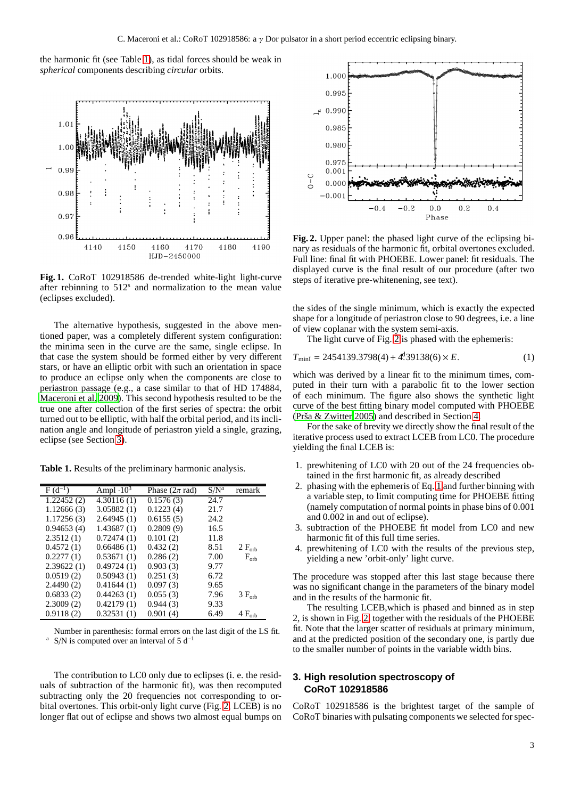the harmonic fit (see Table [1\)](#page-2-2), as tidal forces should be weak in *spherical* components describing *circular* orbits.



<span id="page-2-1"></span>**Fig. 1.** CoRoT 102918586 de-trended white-light light-curve after rebinning to 512<sup>s</sup> and normalization to the mean value (eclipses excluded).

The alternative hypothesis, suggested in the above mentioned paper, was a completely different system configuration: the minima seen in the curve are the same, single eclipse. In that case the system should be formed either by very different stars, or have an elliptic orbit with such an orientation in space to produce an eclipse only when the components are close to periastron passage (e.g., a case similar to that of HD 174884, [Maceroni et al. 2009\)](#page-11-1). This second hypothesis resulted to be the true one after collection of the first series of spectra: the orbit turned out to be elliptic, with half the orbital period, and its inclination angle and longitude of periastron yield a single, grazing, eclipse (see Section [3\)](#page-2-0).

**Table 1.** Results of the preliminary harmonic analysis.

<span id="page-2-2"></span>

| $F(d^{-1})$ | Ampl $\cdot 10^3$ | Phase $(2\pi \text{ rad})$ | $S/N^a$ | remark          |
|-------------|-------------------|----------------------------|---------|-----------------|
| 1.22452(2)  | 4.30116(1)        | 0.1576(3)                  | 24.7    |                 |
| 1.12666(3)  | 3.05882(1)        | 0.1223(4)                  | 21.7    |                 |
| 1.17256(3)  | 2.64945(1)        | 0.6155(5)                  | 24.2    |                 |
| 0.94653(4)  | 1.43687(1)        | 0.2809(9)                  | 16.5    |                 |
| 2.3512(1)   | 0.72474(1)        | 0.101(2)                   | 11.8    |                 |
| 0.4572(1)   | 0.66486(1)        | 0.432(2)                   | 8.51    | $2 F_{orb}$     |
| 0.2277(1)   | 0.53671(1)        | 0.286(2)                   | 7.00    | $F_{orb}$       |
| 2.39622(1)  | 0.49724(1)        | 0.903(3)                   | 9.77    |                 |
| 0.0519(2)   | 0.50943(1)        | 0.251(3)                   | 6.72    |                 |
| 2.4490(2)   | 0.41644(1)        | 0.097(3)                   | 9.65    |                 |
| 0.6833(2)   | 0.44263(1)        | 0.055(3)                   | 7.96    | $3 F_{\rm orb}$ |
| 2.3009(2)   | 0.42179(1)        | 0.944(3)                   | 9.33    |                 |
| 0.9118(2)   | 0.32531(1)        | 0.901(4)                   | 6.49    | $4 F_{orb}$     |

Number in parenthesis: formal errors on the last digit of the LS fit. S/N is computed over an interval of 5  $d^{-1}$ 

The contribution to LC0 only due to eclipses (i. e. the residuals of subtraction of the harmonic fit), was then recomputed subtracting only the 20 frequencies not corresponding to orbital overtones. This orbit-only light curve (Fig. [2,](#page-2-3) LCEB) is no longer flat out of eclipse and shows two almost equal bumps on



<span id="page-2-3"></span>**Fig. 2.** Upper panel: the phased light curve of the eclipsing binary as residuals of the harmonic fit, orbital overtones excluded. Full line: final fit with PHOEBE. Lower panel: fit residuals. The displayed curve is the final result of our procedure (after two steps of iterative pre-whitenening, see text).

the sides of the single minimum, which is exactly the expected shape for a longitude of periastron close to 90 degrees, i.e. a line of view coplanar with the system semi-axis.

The light curve of Fig. [2](#page-2-3) is phased with the ephemeris:

<span id="page-2-4"></span>
$$
T_{\text{minI}} = 2454139.3798(4) + 4939138(6) \times E. \tag{1}
$$

which was derived by a linear fit to the minimum times, computed in their turn with a parabolic fit to the lower section of each minimum. The figure also shows the synthetic light curve of the best fitting binary model computed with PHOEBE (Prša  $& Zwitter\ 2005$ ) and described in Section [4.](#page-3-0)

For the sake of brevity we directly show the final result of the iterative process used to extract LCEB from LC0. The procedure yielding the final LCEB is:

- 1. prewhitening of LC0 with 20 out of the 24 frequencies obtained in the first harmonic fit, as already described
- 2. phasing with the ephemeris of Eq. [1](#page-2-4) and further binning with a variable step, to limit computing time for PHOEBE fitting (namely computation of normal points in phase bins of 0.001 and 0.002 in and out of eclipse).
- 3. subtraction of the PHOEBE fit model from LC0 and new harmonic fit of this full time series.
- 4. prewhitening of LC0 with the results of the previous step, yielding a new 'orbit-only' light curve.

The procedure was stopped after this last stage because there was no significant change in the parameters of the binary model and in the results of the harmonic fit.

The resulting LCEB,which is phased and binned as in step 2, is shown in Fig. [2,](#page-2-3) together with the residuals of the PHOEBE fit. Note that the larger scatter of residuals at primary minimum, and at the predicted position of the secondary one, is partly due to the smaller number of points in the variable width bins.

# <span id="page-2-0"></span>**3. High resolution spectroscopy of CoRoT 102918586**

CoRoT 102918586 is the brightest target of the sample of CoRoT binaries with pulsating components we selected for spec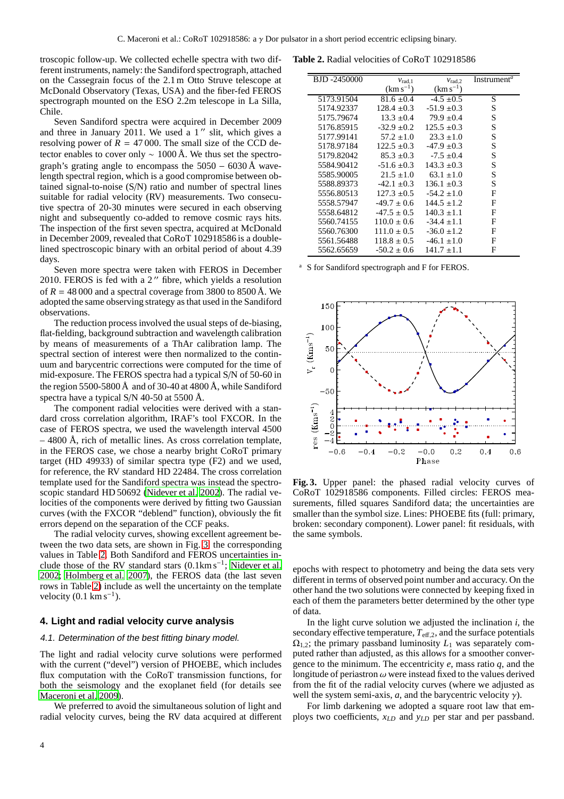troscopic follow-up. We collected echelle spectra with two different instruments, namely: the Sandiford spectrograph, attached on the Cassegrain focus of the 2.1 m Otto Struve telescope at McDonald Observatory (Texas, USA) and the fiber-fed FEROS spectrograph mounted on the ESO 2.2m telescope in La Silla, Chile.

Seven Sandiford spectra were acquired in December 2009 and three in January  $2011$ . We used a 1" slit, which gives a resolving power of  $R = 47000$ . The small size of the CCD detector enables to cover only  $\sim 1000 \text{ Å}$ . We thus set the spectrograph's grating angle to encompass the  $5050 - 6030 \text{ Å}$  wavelength spectral region, which is a good compromise between obtained signal-to-noise (S/N) ratio and number of spectral lines suitable for radial velocity (RV) measurements. Two consecutive spectra of 20-30 minutes were secured in each observing night and subsequently co-added to remove cosmic rays hits. The inspection of the first seven spectra, acquired at McDonald in December 2009, revealed that CoRoT 102918586 is a doublelined spectroscopic binary with an orbital period of about 4.39 days.

Seven more spectra were taken with FEROS in December 2010. FEROS is fed with a 2" fibre, which yields a resolution of  $R = 48000$  and a spectral coverage from 3800 to 8500 Å. We adopted the same observing strategy as that used in the Sandiford observations.

The reduction process involved the usual steps of de-biasing, flat-fielding, background subtraction and wavelength calibration by means of measurements of a ThAr calibration lamp. The spectral section of interest were then normalized to the continuum and barycentric corrections were computed for the time of mid-exposure. The FEROS spectra had a typical S/N of 50-60 in the region 5500-5800  $\AA$  and of 30-40 at 4800  $\AA$ , while Sandiford spectra have a typical S/N 40-50 at 5500 Å.

The component radial velocities were derived with a standard cross correlation algorithm, IRAF's tool FXCOR. In the case of FEROS spectra, we used the wavelength interval 4500 – 4800 Å, rich of metallic lines. As cross correlation template, in the FEROS case, we chose a nearby bright CoRoT primary target (HD 49933) of similar spectra type (F2) and we used, for reference, the RV standard HD 22484. The cross correlation template used for the Sandiford spectra was instead the spectroscopic standard HD 50692 [\(Nidever et al. 2002](#page-11-18)). The radial velocities of the components were derived by fitting two Gaussian curves (with the FXCOR "deblend" function), obviously the fit errors depend on the separation of the CCF peaks.

The radial velocity curves, showing excellent agreement between the two data sets, are shown in Fig. [3,](#page-3-1) the corresponding values in Table [2.](#page-3-2) Both Sandiford and FEROS uncertainties include those of the RV standard stars (0.1km s<sup>−</sup><sup>1</sup> ; [Nidever et al.](#page-11-18) [2002](#page-11-18); [Holmberg et al. 2007](#page-11-19)), the FEROS data (the last seven rows in Table [2\)](#page-3-2) include as well the uncertainty on the template velocity  $(0.1 \text{ km s}^{-1})$ .

# <span id="page-3-0"></span>**4. Light and radial velocity curve analysis**

#### 4.1. Determination of the best fitting binary model.

The light and radial velocity curve solutions were performed with the current ("devel") version of PHOEBE, which includes flux computation with the CoRoT transmission functions, for both the seismology and the exoplanet field (for details see [Maceroni et al. 2009\)](#page-11-1).

We preferred to avoid the simultaneous solution of light and radial velocity curves, being the RV data acquired at different

**Table 2.** Radial velocities of CoRoT 102918586

<span id="page-3-2"></span>

| <b>BJD-2450000</b> | $v_{\text{rad},1}$ | $v_{\text{rad},2}$ | Instrument <sup>a</sup> |
|--------------------|--------------------|--------------------|-------------------------|
|                    | $(km s^{-1})$      | $(km s^{-1})$      |                         |
| 5173.91504         | $81.6 \pm 0.4$     | $-4.5 \pm 0.5$     | S                       |
| 5174.92337         | $128.4 \pm 0.3$    | $-51.9 \pm 0.3$    | S                       |
| 5175.79674         | $13.3 \pm 0.4$     | $79.9 \pm 0.4$     | S                       |
| 5176.85915         | $-32.9 \pm 0.2$    | $125.5 \pm 0.3$    | S                       |
| 5177.99141         | $57.2 \pm 1.0$     | $23.3 \pm 1.0$     | S                       |
| 5178.97184         | $122.5 \pm 0.3$    | $-47.9 \pm 0.3$    | S                       |
| 5179.82042         | $85.3 \pm 0.3$     | $-7.5 \pm 0.4$     | S                       |
| 5584.90412         | $-51.6 \pm 0.3$    | $143.3 \pm 0.3$    | S                       |
| 5585.90005         | $21.5 \pm 1.0$     | $63.1 \pm 1.0$     | S                       |
| 5588.89373         | $-42.1 \pm 0.3$    | $136.1 \pm 0.3$    | S                       |
| 5556.80513         | $127.3 \pm 0.5$    | $-54.2 \pm 1.0$    | F                       |
| 5558.57947         | $-49.7 \pm 0.6$    | $144.5 \pm 1.2$    | F                       |
| 5558.64812         | $-47.5 \pm 0.5$    | $140.3 \pm 1.1$    | F                       |
| 5560.74155         | $110.0 \pm 0.6$    | $-34.4 \pm 1.1$    | F                       |
| 5560.76300         | $111.0 \pm 0.5$    | $-36.0 \pm 1.2$    | F                       |
| 5561.56488         | $118.8 \pm 0.5$    | $-46.1 \pm 1.0$    | F                       |
| 5562.65659         | $-50.2 \pm 0.6$    | $141.7 \pm 1.1$    | F                       |

<sup>a</sup> S for Sandiford spectrograph and F for FEROS.



<span id="page-3-1"></span>**Fig. 3.** Upper panel: the phased radial velocity curves of CoRoT 102918586 components. Filled circles: FEROS measurements, filled squares Sandiford data; the uncertainties are smaller than the symbol size. Lines: PHOEBE fits (full: primary, broken: secondary component). Lower panel: fit residuals, with the same symbols.

epochs with respect to photometry and being the data sets very different in terms of observed point number and accuracy. On the other hand the two solutions were connected by keeping fixed in each of them the parameters better determined by the other type of data.

In the light curve solution we adjusted the inclination *i*, the secondary effective temperature,  $T_{\text{eff},2}$ , and the surface potentials  $\Omega_{1,2}$ ; the primary passband luminosity  $L_1$  was separately computed rather than adjusted, as this allows for a smoother convergence to the minimum. The eccentricity *e*, mass ratio *q*, and the longitude of periastron  $\omega$  were instead fixed to the values derived from the fit of the radial velocity curves (where we adjusted as well the system semi-axis,  $a$ , and the barycentric velocity  $\gamma$ ).

For limb darkening we adopted a square root law that employs two coefficients, *xLD* and *yLD* per star and per passband.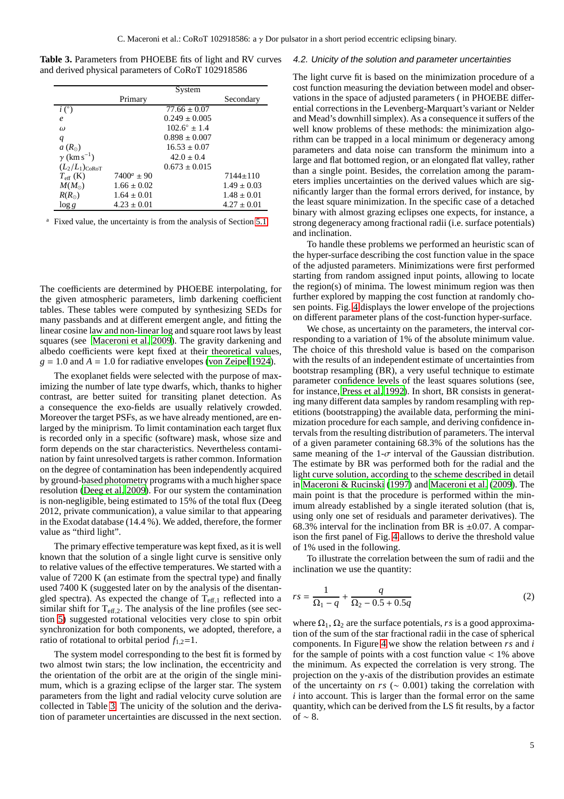**Table 3.** Parameters from PHOEBE fits of light and RV curves and derived physical parameters of CoRoT 102918586

<span id="page-4-0"></span>

|                                |                 | System                  |                 |
|--------------------------------|-----------------|-------------------------|-----------------|
|                                | Primary         |                         | Secondary       |
| i(°)                           |                 | $77.66 \pm 0.07$        |                 |
| $\boldsymbol{\rho}$            |                 | $0.249 \pm 0.005$       |                 |
| $\omega$                       |                 | $102.6^{\circ} \pm 1.4$ |                 |
| q                              |                 | $0.898 \pm 0.007$       |                 |
| $a(R_{\odot})$                 |                 | $16.53 \pm 0.07$        |                 |
| $\gamma$ (km s <sup>-1</sup> ) |                 | $42.0 \pm 0.4$          |                 |
| $(L_2/L_1)_{C_0 R_0 T}$        |                 | $0.673 \pm 0.015$       |                 |
| $T_{\rm eff}$ (K)              | $7400^a \pm 90$ |                         | $7144 \pm 110$  |
| $M(M_{\odot})$                 | $1.66 \pm 0.02$ |                         | $1.49 \pm 0.03$ |
| $R(R_{\odot})$                 | $1.64 \pm 0.01$ |                         | $1.48 \pm 0.01$ |
| $\log g$                       | $4.23 \pm 0.01$ |                         | $4.27 \pm 0.01$ |

<sup>a</sup> Fixed value, the uncertainty is from the analysis of Section [5.1.](#page-5-1)

The coefficients are determined by PHOEBE interpolating, for the given atmospheric parameters, limb darkening coefficient tables. These tables were computed by synthesizing SEDs for many passbands and at different emergent angle, and fitting the linear cosine law and non-linear log and square root laws by least squares (see [Maceroni et al. 2009\)](#page-11-1). The gravity darkening and albedo coefficients were kept fixed at their theoretical values,  $g = 1.0$  and  $A = 1.0$  for radiative envelopes [\(von Zeipel 1924](#page-11-20)).

The exoplanet fields were selected with the purpose of maximizing the number of late type dwarfs, which, thanks to higher contrast, are better suited for transiting planet detection. As a consequence the exo-fields are usually relatively crowded. Moreover the target PSFs, as we have already mentioned, are enlarged by the miniprism. To limit contamination each target flux is recorded only in a specific (software) mask, whose size and form depends on the star characteristics. Nevertheless contamination by faint unresolved targets is rather common. Information on the degree of contamination has been independently acquired by ground-based photometry programs with a much higher space resolution [\(Deeg et al. 2009\)](#page-11-21). For our system the contamination is non-negligible, being estimated to 15% of the total flux (Deeg 2012, private communication), a value similar to that appearing in the Exodat database (14.4 %). We added, therefore, the former value as "third light".

The primary effective temperature was kept fixed, as it is well known that the solution of a single light curve is sensitive only to relative values of the effective temperatures. We started with a value of 7200 K (an estimate from the spectral type) and finally used 7400 K (suggested later on by the analysis of the disentangled spectra). As expected the change of  $T_{\text{eff,1}}$  reflected into a similar shift for  $T_{\text{eff},2}$ . The analysis of the line profiles (see section [5\)](#page-5-0) suggested rotational velocities very close to spin orbit synchronization for both components, we adopted, therefore, a ratio of rotational to orbital period  $f_{1,2}=1$ .

The system model corresponding to the best fit is formed by two almost twin stars; the low inclination, the eccentricity and the orientation of the orbit are at the origin of the single minimum, which is a grazing eclipse of the larger star. The system parameters from the light and radial velocity curve solution are collected in Table [3.](#page-4-0) The unicity of the solution and the derivation of parameter uncertainties are discussed in the next section.

#### 4.2. Unicity of the solution and parameter uncertainties

The light curve fit is based on the minimization procedure of a cost function measuring the deviation between model and observations in the space of adjusted parameters ( in PHOEBE differential corrections in the Levenberg-Marquart's variant or Nelder and Mead's downhill simplex). As a consequence it suffers of the well know problems of these methods: the minimization algorithm can be trapped in a local minimum or degeneracy among parameters and data noise can transform the minimum into a large and flat bottomed region, or an elongated flat valley, rather than a single point. Besides, the correlation among the parameters implies uncertainties on the derived values which are significantly larger than the formal errors derived, for instance, by the least square minimization. In the specific case of a detached binary with almost grazing eclipses one expects, for instance, a strong degeneracy among fractional radii (i.e. surface potentials) and inclination.

To handle these problems we performed an heuristic scan of the hyper-surface describing the cost function value in the space of the adjusted parameters. Minimizations were first performed starting from random assigned input points, allowing to locate the region(s) of minima. The lowest minimum region was then further explored by mapping the cost function at randomly chosen points. Fig. [4](#page-5-2) displays the lower envelope of the projections on different parameter plans of the cost-function hyper-surface.

We chose, as uncertainty on the parameters, the interval corresponding to a variation of 1% of the absolute minimum value. The choice of this threshold value is based on the comparison with the results of an independent estimate of uncertainties from bootstrap resampling (BR), a very useful technique to estimate parameter confidence levels of the least squares solutions (see, for instance, [Press et al. 1992](#page-11-22)). In short, BR consists in generating many different data samples by random resampling with repetitions (bootstrapping) the available data, performing the minimization procedure for each sample, and deriving confidence intervals from the resulting distribution of parameters. The interval of a given parameter containing 68.3% of the solutions has the same meaning of the 1- $\sigma$  interval of the Gaussian distribution. The estimate by BR was performed both for the radial and the light curve solution, according to the scheme described in detail in [Maceroni & Rucinski \(1997\)](#page-11-23) and [Maceroni et al. \(2009\)](#page-11-1). The main point is that the procedure is performed within the minimum already established by a single iterated solution (that is, using only one set of residuals and parameter derivatives). The 68.3% interval for the inclination from BR is  $\pm 0.07$ . A comparison the first panel of Fig. [4](#page-5-2) allows to derive the threshold value of 1% used in the following.

To illustrate the correlation between the sum of radii and the inclination we use the quantity:

$$
rs = \frac{1}{\Omega_1 - q} + \frac{q}{\Omega_2 - 0.5 + 0.5q} \tag{2}
$$

where  $\Omega_1$ ,  $\Omega_2$  are the surface potentials, *rs* is a good approximation of the sum of the star fractional radii in the case of spherical components. In Figure [4](#page-5-2) we show the relation between *rs* and *i* for the sample of points with a cost function value < 1% above the minimum. As expected the correlation is very strong. The projection on the y-axis of the distribution provides an estimate of the uncertainty on *rs* (∼ 0.001) taking the correlation with *i* into account. This is larger than the formal error on the same quantity, which can be derived from the LS fit results, by a factor of  $~\sim 8$ .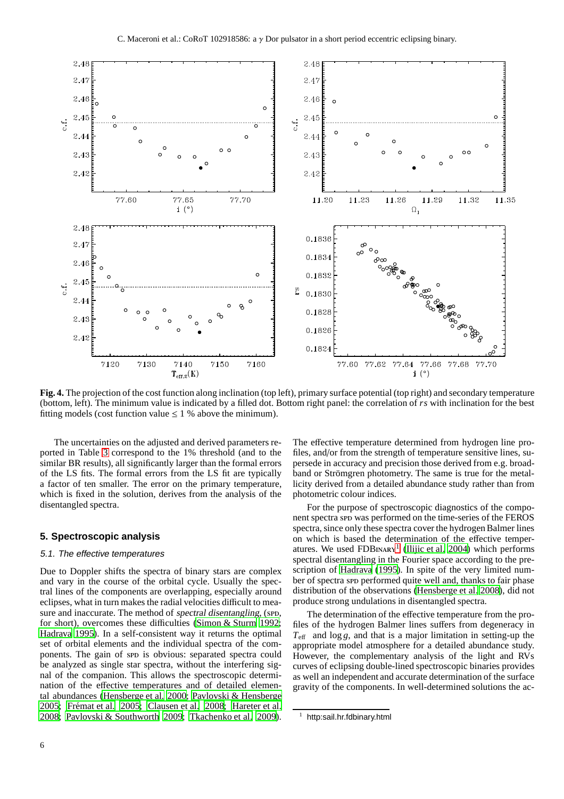

<span id="page-5-2"></span>**Fig. 4.** The projection of the cost function along inclination (top left), primary surface potential (top right) and secondary temperature (bottom, left). The minimum value is indicated by a filled dot. Bottom right panel: the correlation of *rs* with inclination for the best fitting models (cost function value  $\leq 1$  % above the minimum).

The uncertainties on the adjusted and derived parameters reported in Table [3](#page-4-0) correspond to the 1% threshold (and to the similar BR results), all significantly larger than the formal errors of the LS fits. The formal errors from the LS fit are typically a factor of ten smaller. The error on the primary temperature, which is fixed in the solution, derives from the analysis of the disentangled spectra.

# <span id="page-5-1"></span><span id="page-5-0"></span>**5. Spectroscopic analysis**

# 5.1. The effective temperatures

Due to Doppler shifts the spectra of binary stars are complex and vary in the course of the orbital cycle. Usually the spectral lines of the components are overlapping, especially around eclipses, what in turn makes the radial velocities difficult to measure and inaccurate. The method of spectral disentangling, (spp. for short), overcomes these difficulties [\(Simon & Sturm 1992](#page-11-24); [Hadrava 1995](#page-11-25)). In a self-consistent way it returns the optimal set of orbital elements and the individual spectra of the components. The gain of spp is obvious: separated spectra could be analyzed as single star spectra, without the interfering signal of the companion. This allows the spectroscopic determination of the effective temperatures and of detailed elemental abundances [\(Hensberge et al. 2000;](#page-11-26) [Pavlovski & Hensberge](#page-11-27) [2005](#page-11-27); Frémat et al. 2005; [Clausen et al. 2008;](#page-11-29) [Hareter et al.](#page-11-30) [2008](#page-11-30); [Pavlovski & Southworth 2009;](#page-11-31) [Tkachenko et al. 2009](#page-11-32)). The effective temperature determined from hydrogen line profiles, and/or from the strength of temperature sensitive lines, supersede in accuracy and precision those derived from e.g. broadband or Strömgren photometry. The same is true for the metallicity derived from a detailed abundance study rather than from photometric colour indices.

For the purpose of spectroscopic diagnostics of the component spectra spp was performed on the time-series of the FEROS spectra, since only these spectra cover the hydrogen Balmer lines on which is based the determination of the effective temperatures. We used  $FDBIMARY$ <sup>[1](#page-5-3)</sup> [\(Ilijic et al. 2004\)](#page-11-33) which performs spectral disentangling in the Fourier space according to the pre-scription of [Hadrava \(1995](#page-11-25)). In spite of the very limited number of spectra spp performed quite well and, thanks to fair phase distribution of the observations [\(Hensberge et al. 2008\)](#page-11-34), did not produce strong undulations in disentangled spectra.

The determination of the effective temperature from the profiles of the hydrogen Balmer lines suffers from degeneracy in  $T_{\text{eff}}$  and  $\log g$ , and that is a major limitation in setting-up the appropriate model atmosphere for a detailed abundance study. However, the complementary analysis of the light and RVs curves of eclipsing double-lined spectroscopic binaries provides as well an independent and accurate determination of the surface gravity of the components. In well-determined solutions the ac-

<span id="page-5-3"></span>http:sail.hr.fdbinary.html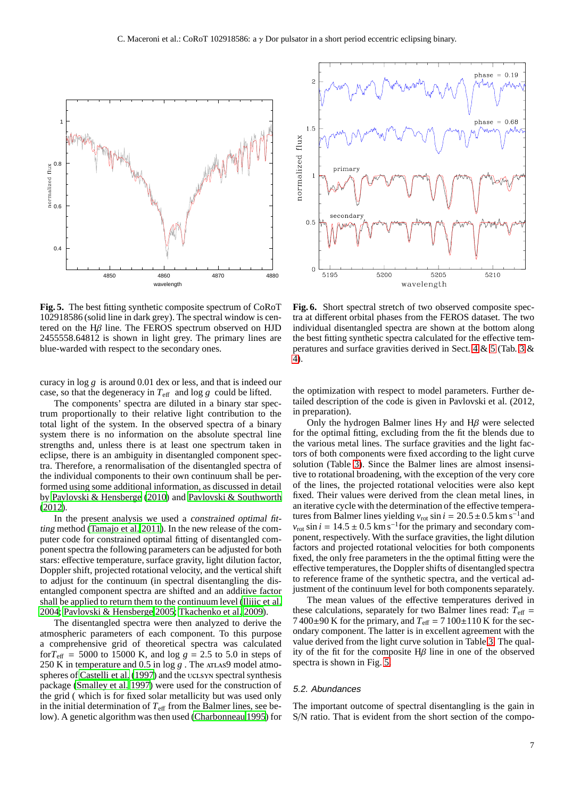

<span id="page-6-0"></span>**Fig. 5.** The best fitting synthetic composite spectrum of CoRoT 102918586 (solid line in dark grey). The spectral window is centered on the Hβ line. The FEROS spectrum observed on HJD 2455558.64812 is shown in light grey. The primary lines are blue-warded with respect to the secondary ones.

curacy in log *g* is around 0.01 dex or less, and that is indeed our case, so that the degeneracy in  $T_{\text{eff}}$  and log g could be lifted.

The components' spectra are diluted in a binary star spectrum proportionally to their relative light contribution to the total light of the system. In the observed spectra of a binary system there is no information on the absolute spectral line strengths and, unless there is at least one spectrum taken in eclipse, there is an ambiguity in disentangled component spectra. Therefore, a renormalisation of the disentangled spectra of the individual components to their own continuum shall be performed using some additional information, as discussed in detail by [Pavlovski & Hensberge \(2010\)](#page-11-35) and [Pavlovski & Southworth](#page-11-36) [\(2012\)](#page-11-36).

In the present analysis we used a constrained optimal fitting method [\(Tamajo et al. 2011\)](#page-11-37). In the new release of the computer code for constrained optimal fitting of disentangled component spectra the following parameters can be adjusted for both stars: effective temperature, surface gravity, light dilution factor, Doppler shift, projected rotational velocity, and the vertical shift to adjust for the continuum (in spectral disentangling the disentangled component spectra are shifted and an additive factor shall be applied to return them to the continuum level [\(Ilijic et al.](#page-11-33) [2004](#page-11-33); [Pavlovski & Hensberge 2005;](#page-11-27) [Tkachenko et al. 2009\)](#page-11-32).

The disentangled spectra were then analyzed to derive the atmospheric parameters of each component. To this purpose a comprehensive grid of theoretical spectra was calculated for $T_{\text{eff}}$  = 5000 to 15000 K, and log  $g = 2.5$  to 5.0 in steps of 250 K in temperature and 0.5 in log g. The ATLAS9 model atmospheres of [Castelli et al. \(1997\)](#page-11-38) and the uclsyn spectral synthesis package [\(Smalley et al. 1997\)](#page-11-39) were used for the construction of the grid ( which is for fixed solar metallicity but was used only in the initial determination of  $T_{\text{eff}}$  from the Balmer lines, see below). A genetic algorithm was then used [\(Charbonneau 1995](#page-11-40)) for



<span id="page-6-1"></span>**Fig. 6.** Short spectral stretch of two observed composite spectra at different orbital phases from the FEROS dataset. The two individual disentangled spectra are shown at the bottom along the best fitting synthetic spectra calculated for the effective temperatures and surface gravities derived in Sect. [4](#page-3-0) & [5](#page-5-0) (Tab. [3](#page-4-0) & [4\)](#page-7-1).

the optimization with respect to model parameters. Further detailed description of the code is given in Pavlovski et al. (2012, in preparation).

Only the hydrogen Balmer lines  $H\gamma$  and  $H\beta$  were selected for the optimal fitting, excluding from the fit the blends due to the various metal lines. The surface gravities and the light factors of both components were fixed according to the light curve solution (Table [3\)](#page-4-0). Since the Balmer lines are almost insensitive to rotational broadening, with the exception of the very core of the lines, the projected rotational velocities were also kept fixed. Their values were derived from the clean metal lines, in an iterative cycle with the determination of the effective temperatures from Balmer lines yielding  $v_{\text{rot}} \sin i = 20.5 \pm 0.5 \text{ km s}^{-1}$  and  $v_{\text{rot}}$  sin *i* = 14.5 ± 0.5 km s<sup>-1</sup> for the primary and secondary component, respectively. With the surface gravities, the light dilution factors and projected rotational velocities for both components fixed, the only free parameters in the the optimal fitting were the effective temperatures, the Doppler shifts of disentangled spectra to reference frame of the synthetic spectra, and the vertical adjustment of the continuum level for both components separately.

The mean values of the effective temperatures derived in these calculations, separately for two Balmer lines read:  $T_{\text{eff}}$  =  $7400\pm90$  K for the primary, and  $T_{\text{eff}} = 7100\pm110$  K for the secondary component. The latter is in excellent agreement with the value derived from the light curve solution in Table [3.](#page-4-0) The quality of the fit for the composite  $H\beta$  line in one of the observed spectra is shown in Fig. [5.](#page-6-0)

#### 5.2. Abundances

The important outcome of spectral disentangling is the gain in S/N ratio. That is evident from the short section of the compo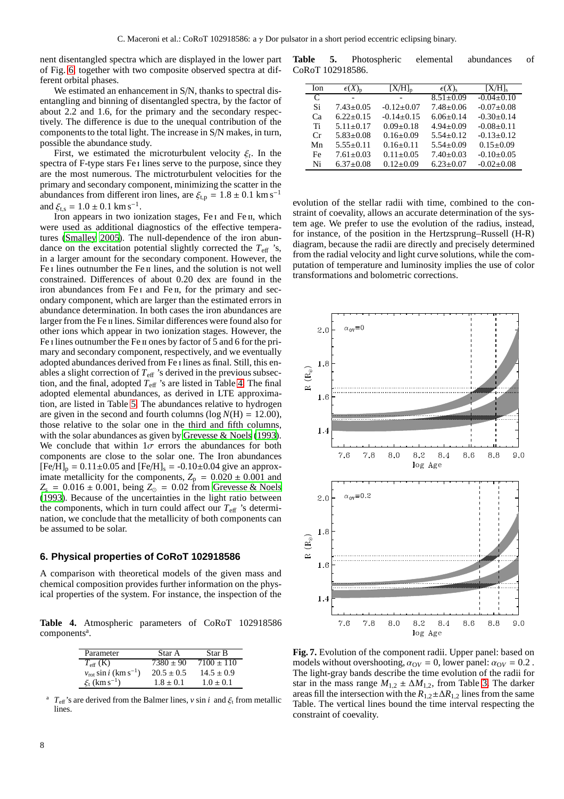nent disentangled spectra which are displayed in the lower part of Fig. [6,](#page-6-1) together with two composite observed spectra at different orbital phases.

We estimated an enhancement in S/N, thanks to spectral disentangling and binning of disentangled spectra, by the factor of about 2.2 and 1.6, for the primary and the secondary respectively. The difference is due to the unequal contribution of the components to the total light. The increase in S/N makes, in turn, possible the abundance study.

First, we estimated the microturbulent velocity  $\xi_t$ . In the spectra of F-type stars Fe i lines serve to the purpose, since they are the most numerous. The mictroturbulent velocities for the primary and secondary component, minimizing the scatter in the abundances from different iron lines, are  $\xi_{\text{t,p}} = 1.8 \pm 0.1 \text{ km s}^{-1}$ and  $\xi_{t,s} = 1.0 \pm 0.1 \text{ km s}^{-1}$ .

Iron appears in two ionization stages, Fe I and Fe II, which were used as additional diagnostics of the effective temperatures [\(Smalley 2005\)](#page-11-41). The null-dependence of the iron abundance on the excitation potential slightly corrected the  $T_{\text{eff}}$  's, in a larger amount for the secondary component. However, the Fe<sub>I</sub> lines outnumber the Fe<sub>II</sub> lines, and the solution is not well constrained. Differences of about 0.20 dex are found in the iron abundances from Fe<sub>I</sub> and Fe<sub>II</sub>, for the primary and secondary component, which are larger than the estimated errors in abundance determination. In both cases the iron abundances are larger from the Fe II lines. Similar differences were found also for other ions which appear in two ionization stages. However, the Fe i lines outnumber the Fe ii ones by factor of 5 and 6 for the primary and secondary component, respectively, and we eventually adopted abundances derived from Fe i lines as final. Still, this enables a slight correction of  $T_{\text{eff}}$  's derived in the previous subsection, and the final, adopted  $T_{\text{eff}}$  's are listed in Table [4.](#page-7-1) The final adopted elemental abundances, as derived in LTE approximation, are listed in Table [5.](#page-7-2) The abundances relative to hydrogen are given in the second and fourth columns ( $log N(H) = 12.00$ ), those relative to the solar one in the third and fifth columns, with the solar abundances as given by [Grevesse & Noels \(1993](#page-11-42)). We conclude that within  $1\sigma$  errors the abundances for both components are close to the solar one. The Iron abundances  $[Fe/H]_p = 0.11 \pm 0.05$  and  $[Fe/H]_s = -0.10 \pm 0.04$  give an approximate metallicity for the components,  $Z_p = 0.020 \pm 0.001$  and  $Z_s = 0.016 \pm 0.001$ , being  $Z_{\odot} = 0.02$  from [Grevesse & Noels](#page-11-42) [\(1993\)](#page-11-42). Because of the uncertainties in the light ratio between the components, which in turn could affect our  $T_{\text{eff}}$  's determination, we conclude that the metallicity of both components can be assumed to be solar.

## <span id="page-7-0"></span>**6. Physical properties of CoRoT 102918586**

A comparison with theoretical models of the given mass and chemical composition provides further information on the physical properties of the system. For instance, the inspection of the

**Table 4.** Atmospheric parameters of CoRoT 102918586 components<sup>a</sup>.

<span id="page-7-1"></span>

| Parameter                                        | Star A         | Star B         |
|--------------------------------------------------|----------------|----------------|
| $T_{\text{eff}}$ (K)                             | $7380 \pm 90$  | $7100 \pm 110$ |
| $v_{\rm rot}$ sin <i>i</i> (km s <sup>-1</sup> ) | $20.5 \pm 0.5$ | $14.5 \pm 0.9$ |
| $\xi_{t}$ (km s <sup>-1</sup> )                  | $1.8 \pm 0.1$  | $1.0 \pm 0.1$  |

 $T_{\text{eff}}$ 's are derived from the Balmer lines, *v* sin *i* and  $\xi_t$  from metallic lines.

**Table 5.** Photospheric elemental abundances of CoRoT 102918586.

<span id="page-7-2"></span>

| Ion.         | $\epsilon(X)_{n}$ | $ X/H _n$        | $\epsilon(X)_{s}$ | $[X/H]_{s}$      |
|--------------|-------------------|------------------|-------------------|------------------|
| $\mathsf{C}$ |                   |                  | $8.51 \pm 0.09$   | $-0.04\pm0.10$   |
| Si           | $7.43 \pm 0.05$   | $-0.12 \pm 0.07$ | $7.48 \pm 0.06$   | $-0.07+0.08$     |
| Ca           | $6.22 \pm 0.15$   | $-0.14\pm0.15$   | $6.06 \pm 0.14$   | $-0.30 \pm 0.14$ |
| Ti           | $5.11 \pm 0.17$   | $0.09 \pm 0.18$  | $4.94 \pm 0.09$   | $-0.08 \pm 0.11$ |
| $C_{r}$      | $5.83 \pm 0.08$   | $0.16 \pm 0.09$  | $5.54 \pm 0.12$   | $-0.13 \pm 0.12$ |
| Mn           | $5.55 \pm 0.11$   | $0.16 \pm 0.11$  | $5.54 \pm 0.09$   | $0.15 \pm 0.09$  |
| Fe           | $7.61 \pm 0.03$   | $0.11 \pm 0.05$  | $7.40 \pm 0.03$   | $-0.10+0.05$     |
| Ni           | $6.37 \pm 0.08$   | $0.12 \pm 0.09$  | $6.23 \pm 0.07$   | $-0.02 \pm 0.08$ |

evolution of the stellar radii with time, combined to the constraint of coevality, allows an accurate determination of the system age. We prefer to use the evolution of the radius, instead, for instance, of the position in the Hertzsprung–Russell (H-R) diagram, because the radii are directly and precisely determined from the radial velocity and light curve solutions, while the computation of temperature and luminosity implies the use of color transformations and bolometric corrections.



<span id="page-7-3"></span>**Fig. 7.** Evolution of the component radii. Upper panel: based on models without overshooting,  $\alpha_{\text{OV}} = 0$ , lower panel:  $\alpha_{\text{OV}} = 0.2$ . The light-gray bands describe the time evolution of the radii for star in the mass range  $M_{1,2} \pm \Delta M_{1,2}$ , from Table [3.](#page-4-0) The darker areas fill the intersection with the  $R_{1,2} \pm \Delta R_{1,2}$  lines from the same Table. The vertical lines bound the time interval respecting the constraint of coevality.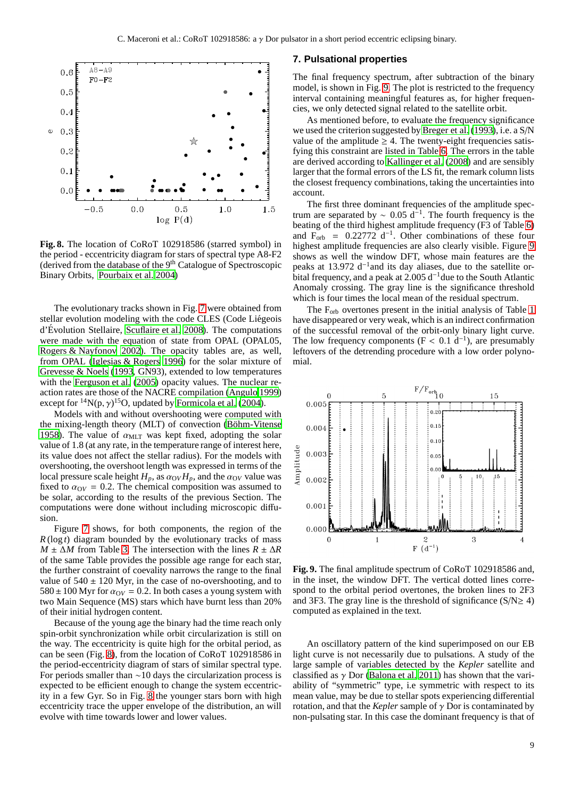

<span id="page-8-1"></span>**Fig. 8.** The location of CoRoT 102918586 (starred symbol) in the period - eccentricity diagram for stars of spectral type A8-F2 (derived from the database of the 9<sup>th</sup> Catalogue of Spectroscopic Binary Orbits, [Pourbaix et al. 2004\)](#page-11-43)

The evolutionary tracks shown in Fig. [7](#page-7-3) were obtained from stellar evolution modeling with the code CLES (Code Liégeois  $d'$ Évolution Stellaire, [Scuflaire et al. 2008](#page-11-44)). The computations were made with the equation of state from OPAL (OPAL05, [Rogers & Nayfonov 2002](#page-11-45)). The opacity tables are, as well, from OPAL [\(Iglesias & Rogers 1996\)](#page-11-46) for the solar mixture of [Grevesse & Noels \(1993,](#page-11-42) GN93), extended to low temperatures with the [Ferguson et al. \(2005](#page-11-47)) opacity values. The nuclear reaction rates are those of the NACRE compilation [\(Angulo 1999\)](#page-11-48) except for  $^{14}N(p, \gamma)^{15}O$ , updated by [Formicola et al. \(2004\)](#page-11-49).

Models with and without overshooting were computed with the mixing-length theory (MLT) of convection (Böhm-Vitense [1958](#page-11-50)). The value of  $\alpha_{\text{MLT}}$  was kept fixed, adopting the solar value of 1.8 (at any rate, in the temperature range of interest here, its value does not affect the stellar radius). For the models with overshooting, the overshoot length was expressed in terms of the local pressure scale height  $H_p$ , as  $\alpha_{\text{O}V}H_p$ , and the  $\alpha_{\text{O}V}$  value was fixed to  $\alpha_{\text{OV}} = 0.2$ . The chemical composition was assumed to be solar, according to the results of the previous Section. The computations were done without including microscopic diffusion.

Figure [7](#page-7-3) shows, for both components, the region of the *R* (log *t*) diagram bounded by the evolutionary tracks of mass *M* ± ∆*M* from Table [3.](#page-4-0) The intersection with the lines  $R \pm \Delta R$ of the same Table provides the possible age range for each star, the further constraint of coevality narrows the range to the final value of  $540 \pm 120$  Myr, in the case of no-overshooting, and to  $580 \pm 100$  Myr for  $\alpha_{\text{O}V} = 0.2$ . In both cases a young system with two Main Sequence (MS) stars which have burnt less than 20% of their initial hydrogen content.

Because of the young age the binary had the time reach only spin-orbit synchronization while orbit circularization is still on the way. The eccentricity is quite high for the orbital period, as can be seen (Fig. [8\)](#page-8-1), from the location of CoRoT 102918586 in the period-eccentricity diagram of stars of similar spectral type. For periods smaller than ∼10 days the circularization process is expected to be efficient enough to change the system eccentricity in a few Gyr. So in Fig. [8](#page-8-1) the younger stars born with high eccentricity trace the upper envelope of the distribution, an will evolve with time towards lower and lower values.

## <span id="page-8-0"></span>**7. Pulsational properties**

The final frequency spectrum, after subtraction of the binary model, is shown in Fig. [9.](#page-8-2) The plot is restricted to the frequency interval containing meaningful features as, for higher frequencies, we only detected signal related to the satellite orbit.

As mentioned before, to evaluate the frequency significance we used the criterion suggested by [Breger et al. \(1993\)](#page-11-16), i.e. a S/N value of the amplitude  $\geq 4$ . The twenty-eight frequencies satisfying this constraint are listed in Table [6.](#page-9-0) The errors in the table are derived according to [Kallinger et al. \(2008\)](#page-11-51) and are sensibly larger that the formal errors of the LS fit, the remark column lists the closest frequency combinations, taking the uncertainties into account.

The first three dominant frequencies of the amplitude spectrum are separated by  $\sim 0.05 \text{ d}^{-1}$ . The fourth frequency is the beating of the third highest amplitude frequency (F3 of Table [6\)](#page-9-0) and  $F_{\text{orb}}$  = 0.22772 d<sup>-1</sup>. Other combinations of these four highest amplitude frequencies are also clearly visible. Figure [9](#page-8-2) shows as well the window DFT, whose main features are the peaks at 13.972  $d^{-1}$  and its day aliases, due to the satellite orbital frequency, and a peak at  $2.005 d^{-1}$  due to the South Atlantic Anomaly crossing. The gray line is the significance threshold which is four times the local mean of the residual spectrum.

The F<sub>orb</sub> overtones present in the initial analysis of Table [1](#page-2-2) have disappeared or very weak, which is an indirect confirmation of the successful removal of the orbit-only binary light curve. The low frequency components ( $F < 0.1 d^{-1}$ ), are presumably leftovers of the detrending procedure with a low order polynomial.



<span id="page-8-2"></span>**Fig. 9.** The final amplitude spectrum of CoRoT 102918586 and, in the inset, the window DFT. The vertical dotted lines correspond to the orbital period overtones, the broken lines to 2F3 and 3F3. The gray line is the threshold of significance  $(S/N \ge 4)$ computed as explained in the text.

An oscillatory pattern of the kind superimposed on our EB light curve is not necessarily due to pulsations. A study of the large sample of variables detected by the *Kepler* satellite and classified as  $\gamma$  Dor [\(Balona et al. 2011](#page-11-52)) has shown that the variability of "symmetric" type, i.e symmetric with respect to its mean value, may be due to stellar spots experiencing differential rotation, and that the *Kepler* sample of γ Dor is contaminated by non-pulsating star. In this case the dominant frequency is that of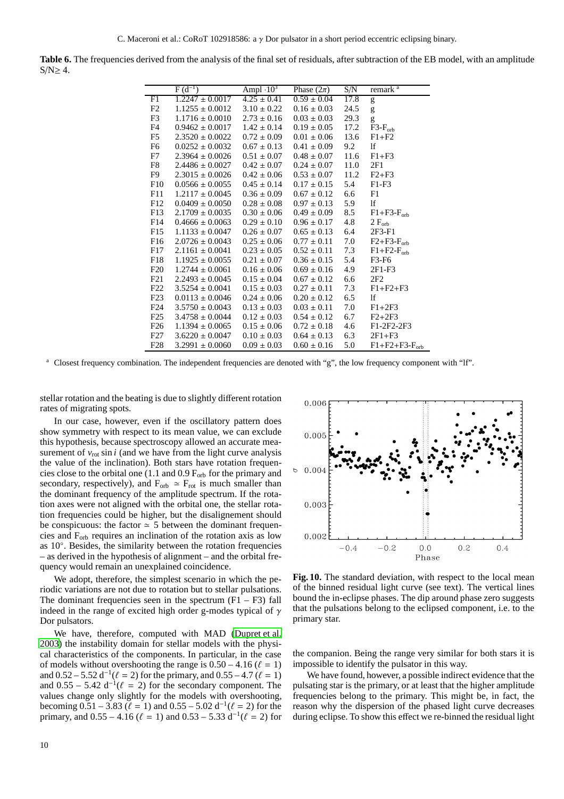<span id="page-9-0"></span>**Table 6.** The frequencies derived from the analysis of the final set of residuals, after subtraction of the EB model, with an amplitude  $S/N \geq 4$ .

|                  | $F(d^{-1})$                         | Ampl $\cdot 10^3$ | Phase $(2\pi)$  | S/N  | remark $a$                 |
|------------------|-------------------------------------|-------------------|-----------------|------|----------------------------|
| F1               | $1.2247 \pm 0.0017$                 | $4.25 \pm 0.41$   | $0.59 \pm 0.04$ | 17.8 | g                          |
| F2               | $1.1255 \pm 0.0012$                 | $3.10 \pm 0.22$   | $0.16 \pm 0.03$ | 24.5 | g                          |
| F3               | $1.1716 \pm 0.0010$                 | $2.73 \pm 0.16$   | $0.03 \pm 0.03$ | 29.3 | g                          |
| F4               | $0.9462 \pm 0.0017$ $1.42 \pm 0.14$ |                   | $0.19 \pm 0.05$ | 17.2 | $F3-F_{orb}$               |
| F5               | $2.3520 \pm 0.0022$                 | $0.72 \pm 0.09$   | $0.01 \pm 0.06$ | 13.6 | $F1 + F2$                  |
| F6               | $0.0252 \pm 0.0032$                 | $0.67 \pm 0.13$   | $0.41 \pm 0.09$ | 9.2  | lf                         |
| F7               | $2.3964 \pm 0.0026$                 | $0.51 \pm 0.07$   | $0.48 \pm 0.07$ | 11.6 | $F1 + F3$                  |
| F8               | $2.4486 \pm 0.0027$                 | $0.42 \pm 0.07$   | $0.24 \pm 0.07$ | 11.0 | 2F1                        |
| F9               | $2.3015 \pm 0.0026$                 | $0.42 \pm 0.06$   | $0.53 \pm 0.07$ | 11.2 | $F2+F3$                    |
| F10              | $0.0566 \pm 0.0055$                 | $0.45 \pm 0.14$   | $0.17 \pm 0.15$ | 5.4  | $F1-F3$                    |
| F11              | $1.2117 \pm 0.0045$                 | $0.36 \pm 0.09$   | $0.67 \pm 0.12$ | 6.6  | F1                         |
| F12              | $0.0409 \pm 0.0050$                 | $0.28 \pm 0.08$   | $0.97 \pm 0.13$ | 5.9  | lf                         |
| F13              | $2.1709 \pm 0.0035$                 | $0.30 \pm 0.06$   | $0.49 \pm 0.09$ | 8.5  | $F1 + F3 - F_{\text{orb}}$ |
| F14              | $0.4666 \pm 0.0063$                 | $0.29 \pm 0.10$   | $0.96 \pm 0.17$ | 4.8  | $2 F_{\rm orb}$            |
| F15              | $1.1133 \pm 0.0047$                 | $0.26 \pm 0.07$   | $0.65 \pm 0.13$ | 6.4  | $2F3-F1$                   |
| F16              | $2.0726 \pm 0.0043$                 | $0.25 \pm 0.06$   | $0.77 \pm 0.11$ | 7.0  | $F2 + F3 - F_{orb}$        |
| F17              | $2.1161 \pm 0.0041$                 | $0.23 \pm 0.05$   | $0.52 \pm 0.11$ | 7.3  | $F1 + F2 - F_{orb}$        |
| F18              | $1.1925 \pm 0.0055$                 | $0.21 \pm 0.07$   | $0.36 \pm 0.15$ | 5.4  | F3-F6                      |
| F20              | $1.2744 \pm 0.0061$                 | $0.16 \pm 0.06$   | $0.69 \pm 0.16$ | 4.9  | $2F1-F3$                   |
| F21              | $2.2493 \pm 0.0045$                 | $0.15 \pm 0.04$   | $0.67 \pm 0.12$ | 6.6  | 2F2                        |
| F22              | $3.5254 \pm 0.0041$                 | $0.15 \pm 0.03$   | $0.27 \pm 0.11$ | 7.3  | $F1 + F2 + F3$             |
| F <sub>2</sub> 3 | $0.0113 \pm 0.0046$                 | $0.24 \pm 0.06$   | $0.20 \pm 0.12$ | 6.5  | lf                         |
| F24              | $3.5750 \pm 0.0043$                 | $0.13 \pm 0.03$   | $0.03 \pm 0.11$ | 7.0  | $F1+2F3$                   |
| F25              | $3.4758 \pm 0.0044$                 | $0.12 \pm 0.03$   | $0.54 \pm 0.12$ | 6.7  | $F2+2F3$                   |
| F <sub>26</sub>  | $1.1394 \pm 0.0065$                 | $0.15 \pm 0.06$   | $0.72 \pm 0.18$ | 4.6  | F1-2F2-2F3                 |
| F27              | $3.6220 \pm 0.0047$                 | $0.10 \pm 0.03$   | $0.64 \pm 0.13$ | 6.3  | $2F1+F3$                   |
| F28              | $3.2991 \pm 0.0060$                 | $0.09 \pm 0.03$   | $0.60 \pm 0.16$ | 5.0  | $F1 + F2 + F3 - F_{orb}$   |

<sup>a</sup> Closest frequency combination. The independent frequencies are denoted with "g", the low frequency component with "lf".

stellar rotation and the beating is due to slightly different rotation rates of migrating spots.

In our case, however, even if the oscillatory pattern does show symmetry with respect to its mean value, we can exclude this hypothesis, because spectroscopy allowed an accurate measurement of  $v_{\text{rot}}$  sin *i* (and we have from the light curve analysis the value of the inclination). Both stars have rotation frequencies close to the orbital one (1.1 and  $0.9 F<sub>orb</sub>$  for the primary and secondary, respectively), and  $F_{orb} \approx F_{rot}$  is much smaller than the dominant frequency of the amplitude spectrum. If the rotation axes were not aligned with the orbital one, the stellar rotation frequencies could be higher, but the disalignement should be conspicuous: the factor  $\simeq$  5 between the dominant frequencies and Forb requires an inclination of the rotation axis as low as 10◦ . Besides, the similarity between the rotation frequencies – as derived in the hypothesis of alignment – and the orbital frequency would remain an unexplained coincidence.

We adopt, therefore, the simplest scenario in which the periodic variations are not due to rotation but to stellar pulsations. The dominant frequencies seen in the spectrum  $(F1 - F3)$  fall indeed in the range of excited high order g-modes typical of  $\gamma$ Dor pulsators.

We have, therefore, computed with MAD [\(Dupret et al.](#page-11-53) [2003](#page-11-53)) the instability domain for stellar models with the physical characteristics of the components. In particular, in the case of models without overshooting the range is  $0.50 - 4.16$  ( $\ell = 1$ ) and  $0.52 - 5.52 d^{-1}(\ell = 2)$  for the primary, and  $0.55 - 4.7 (\ell = 1)$ and  $0.55 - 5.42 d^{-1}(\ell = 2)$  for the secondary component. The values change only slightly for the models with overshooting, becoming  $0.51 - 3.83$  ( $\ell = 1$ ) and  $0.55 - 5.02$  d<sup>-1</sup>( $\ell = 2$ ) for the primary, and  $0.55 - 4.16$  ( $\ell = 1$ ) and  $0.53 - 5.33$  d<sup>-1</sup>( $\ell = 2$ ) for



<span id="page-9-1"></span>**Fig. 10.** The standard deviation, with respect to the local mean of the binned residual light curve (see text). The vertical lines bound the in-eclipse phases. The dip around phase zero suggests that the pulsations belong to the eclipsed component, i.e. to the primary star.

the companion. Being the range very similar for both stars it is impossible to identify the pulsator in this way.

We have found, however, a possible indirect evidence that the pulsating star is the primary, or at least that the higher amplitude frequencies belong to the primary. This might be, in fact, the reason why the dispersion of the phased light curve decreases during eclipse. To show this effect we re-binned the residual light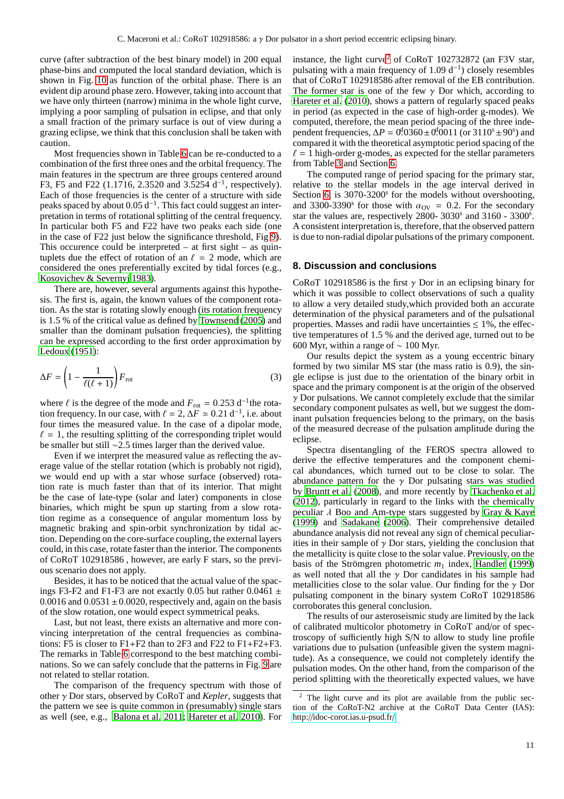curve (after subtraction of the best binary model) in 200 equal phase-bins and computed the local standard deviation, which is shown in Fig. [10](#page-9-1) as function of the orbital phase. There is an evident dip around phase zero. However, taking into account that we have only thirteen (narrow) minima in the whole light curve, implying a poor sampling of pulsation in eclipse, and that only a small fraction of the primary surface is out of view during a grazing eclipse, we think that this conclusion shall be taken with caution.

Most frequencies shown in Table [6](#page-9-0) can be re-conducted to a combination of the first three ones and the orbital frequency. The main features in the spectrum are three groups centered around F3, F5 and F22 (1.1716, 2.3520 and  $3.5254$  d<sup>-1</sup>, respectively). Each of those frequencies is the center of a structure with side peaks spaced by about 0.05  $d^{-1}$ . This fact could suggest an interpretation in terms of rotational splitting of the central frequency. In particular both F5 and F22 have two peaks each side (one in the case of F22 just below the significance threshold, Fig [9\)](#page-8-2). This occurence could be interpreted – at first sight – as quintuplets due the effect of rotation of an  $\ell = 2$  mode, which are considered the ones preferentially excited by tidal forces (e.g., [Kosovichev & Severnyj 1983](#page-11-54)).

There are, however, several arguments against this hypothesis. The first is, again, the known values of the component rotation. As the star is rotating slowly enough (its rotation frequency is 1.5 % of the critical value as defined by [Townsend \(2005\)](#page-11-55) and smaller than the dominant pulsation frequencies), the splitting can be expressed according to the first order approximation by [Ledoux \(1951\)](#page-11-56):

$$
\Delta F = \left(1 - \frac{1}{\ell(\ell+1)}\right) F_{\text{rot}} \tag{3}
$$

where  $\ell$  is the degree of the mode and  $F_{\text{rot}} = 0.253 \text{ d}^{-1}$  the rotation frequency. In our case, with  $\ell = 2$ ,  $\Delta F \approx 0.21$  d<sup>-1</sup>, i.e. about four times the measured value. In the case of a dipolar mode,  $\ell = 1$ , the resulting splitting of the corresponding triplet would be smaller but still ∼2.5 times larger than the derived value.

Even if we interpret the measured value as reflecting the average value of the stellar rotation (which is probably not rigid), we would end up with a star whose surface (observed) rotation rate is much faster than that of its interior. That might be the case of late-type (solar and later) components in close binaries, which might be spun up starting from a slow rotation regime as a consequence of angular momentum loss by magnetic braking and spin-orbit synchronization by tidal action. Depending on the core-surface coupling, the external layers could, in this case, rotate faster than the interior. The components of CoRoT 102918586 , however, are early F stars, so the previous scenario does not apply.

Besides, it has to be noticed that the actual value of the spacings F3-F2 and F1-F3 are not exactly 0.05 but rather 0.0461  $\pm$  $0.0016$  and  $0.0531 \pm 0.0020$ , respectively and, again on the basis of the slow rotation, one would expect symmetrical peaks.

Last, but not least, there exists an alternative and more convincing interpretation of the central frequencies as combinations: F5 is closer to F1+F2 than to 2F3 and F22 to F1+F2+F3. The remarks in Table [6](#page-9-0) correspond to the best matching combinations. So we can safely conclude that the patterns in Fig. [9](#page-8-2) are not related to stellar rotation.

The comparison of the frequency spectrum with those of other γ Dor stars, observed by CoRoT and *Kepler*, suggests that the pattern we see is quite common in (presumably) single stars as well (see, e.g., [Balona et al. 2011;](#page-11-52) [Hareter et al. 2010](#page-11-57)). For

instance, the light curve<sup>[2](#page-10-0)</sup> of CoRoT 102732872 (an F3V star, pulsating with a main frequency of 1.09  $d^{-1}$ ) closely resembles that of CoRoT 102918586 after removal of the EB contribution. The former star is one of the few  $\gamma$  Dor which, according to [Hareter et al.](#page-11-57) [\(2010\)](#page-11-57), shows a pattern of regularly spaced peaks in period (as expected in the case of high-order g-modes). We computed, therefore, the mean period spacing of the three independent frequencies,  $\Delta P = 0.0360 \pm 0.0011$  (or 3110<sup>s</sup> ± 90<sup>s</sup>) and compared it with the theoretical asymptotic period spacing of the  $\ell = 1$  high-order g-modes, as expected for the stellar parameters from Table [3](#page-4-0) and Section [6.](#page-7-0)

The computed range of period spacing for the primary star, relative to the stellar models in the age interval derived in Section [6,](#page-7-0) is 3070-3200<sup>s</sup> for the models without overshooting, and 3300-3390<sup>s</sup> for those with  $\alpha_{\text{OV}} = 0.2$ . For the secondary star the values are, respectively 2800- 3030<sup>s</sup> and 3160 - 3300<sup>s</sup>. A consistent interpretation is, therefore, that the observed pattern is due to non-radial dipolar pulsations of the primary component.

## **8. Discussion and conclusions**

CoRoT 102918586 is the first  $\gamma$  Dor in an eclipsing binary for which it was possible to collect observations of such a quality to allow a very detailed study,which provided both an accurate determination of the physical parameters and of the pulsational properties. Masses and radii have uncertainties  $\leq 1\%$ , the effective temperatures of 1.5 % and the derived age, turned out to be 600 Myr, within a range of  $\sim 100$  Myr.

Our results depict the system as a young eccentric binary formed by two similar MS star (the mass ratio is 0.9), the single eclipse is just due to the orientation of the binary orbit in space and the primary component is at the origin of the observed  $\gamma$  Dor pulsations. We cannot completely exclude that the similar secondary component pulsates as well, but we suggest the dominant pulsation frequencies belong to the primary, on the basis of the measured decrease of the pulsation amplitude during the eclipse.

Spectra disentangling of the FEROS spectra allowed to derive the effective temperatures and the component chemical abundances, which turned out to be close to solar. The abundance pattern for the  $\gamma$  Dor pulsating stars was studied by [Bruntt et al.](#page-11-58) [\(2008\)](#page-11-58), and more recently by [Tkachenko et al.](#page-11-59) [\(2012](#page-11-59)), particularly in regard to the links with the chemically peculiar  $\lambda$  Boo and Am-type stars suggested by [Gray & Kaye](#page-11-60) [\(1999](#page-11-60)) and [Sadakane \(2006](#page-11-61)). Their comprehensive detailed abundance analysis did not reveal any sign of chemical peculiarities in their sample of  $\gamma$  Dor stars, yielding the conclusion that the metallicity is quite close to the solar value. Previously, on the basis of the Strömgren photometric  $m_1$  index, [Handler \(1999\)](#page-11-62) as well noted that all the  $\gamma$  Dor candidates in his sample had metallicities close to the solar value. Our finding for the  $\gamma$  Dor pulsating component in the binary system CoRoT 102918586 corroborates this general conclusion.

The results of our asteroseismic study are limited by the lack of calibrated multicolor photometry in CoRoT and/or of spectroscopy of sufficiently high S/N to allow to study line profile variations due to pulsation (unfeasible given the system magnitude). As a consequence, we could not completely identify the pulsation modes. On the other hand, from the comparison of the period splitting with the theoretically expected values, we have

<span id="page-10-0"></span><sup>2</sup> The light curve and its plot are available from the public section of the CoRoT-N2 archive at the CoRoT Data Center (IAS): http://[idoc-corot.ias.u-psud.fr](http://idoc-corot.ias.u-psud.fr/)/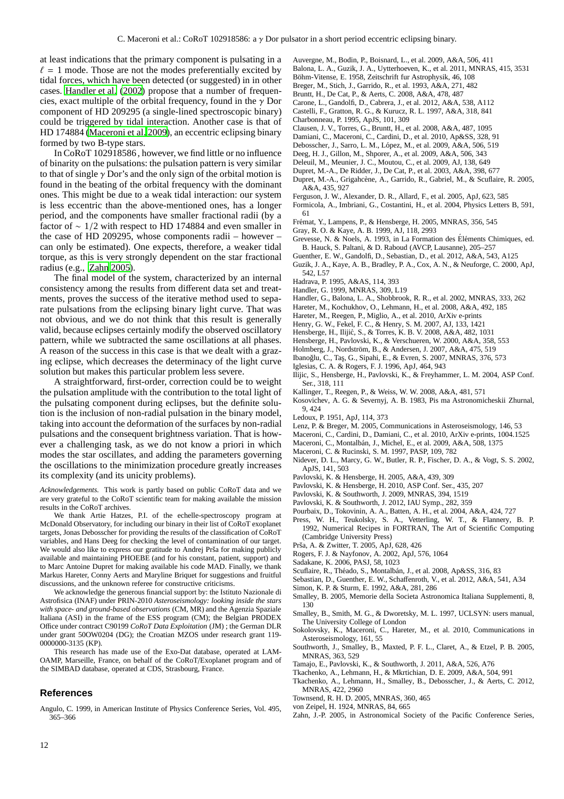at least indications that the primary component is pulsating in a  $\ell = 1$  mode. Those are not the modes preferentially excited by tidal forces, which have been detected (or suggested) in in other cases. [Handler et al.](#page-11-63) [\(2002\)](#page-11-63) propose that a number of frequencies, exact multiple of the orbital frequency, found in the  $\gamma$  Dor component of HD 209295 (a single-lined spectroscopic binary) could be triggered by tidal interaction. Another case is that of HD 174884 [\(Maceroni et al. 2009\)](#page-11-1), an eccentric eclipsing binary formed by two B-type stars.

In CoRoT 102918586 , however, we find little or no influence of binarity on the pulsations: the pulsation pattern is very similar to that of single  $\gamma$  Dor's and the only sign of the orbital motion is found in the beating of the orbital frequency with the dominant ones. This might be due to a weak tidal interaction: our system is less eccentric than the above-mentioned ones, has a longer period, and the components have smaller fractional radii (by a factor of ∼ 1/2 with respect to HD 174884 and even smaller in the case of HD 209295, whose components radii – however – can only be estimated). One expects, therefore, a weaker tidal torque, as this is very strongly dependent on the star fractional radius (e.g., [Zahn 2005](#page-11-64)).

The final model of the system, characterized by an internal consistency among the results from different data set and treatments, proves the success of the iterative method used to separate pulsations from the eclipsing binary light curve. That was not obvious, and we do not think that this result is generally valid, because eclipses certainly modify the observed oscillatory pattern, while we subtracted the same oscillations at all phases. A reason of the success in this case is that we dealt with a grazing eclipse, which decreases the determinacy of the light curve solution but makes this particular problem less severe.

A straightforward, first-order, correction could be to weight the pulsation amplitude with the contribution to the total light of the pulsating component during eclipses, but the definite solution is the inclusion of non-radial pulsation in the binary model, taking into account the deformation of the surfaces by non-radial pulsations and the consequent brightness variation. That is however a challenging task, as we do not know a priori in which modes the star oscillates, and adding the parameters governing the oscillations to the minimization procedure greatly increases its complexity (and its unicity problems).

*Acknowledgements.* This work is partly based on public CoRoT data and we are very grateful to the CoRoT scientific team for making available the mission results in the CoRoT archives.

We thank Artie Hatzes, P.I. of the echelle-spectroscopy program at McDonald Observatory, for including our binary in their list of CoRoT exoplanet targets, Jonas Debosscher for providing the results of the classification of CoRoT variables, and Hans Deeg for checking the level of contamination of our target. We would also like to express our gratitude to Andrej Prša for making publicly available and maintaining PHOEBE (and for his constant, patient, support) and to Marc Antoine Dupret for making available his code MAD. Finally, we thank Markus Hareter, Conny Aerts and Maryline Briquet for suggestions and fruitful discussions, and the unknown referee for constructive criticisms.

We acknowledge the generous financial support by: the Istituto Nazionale di Astrofisica (INAF) under PRIN-2010 *Asteroseismology: looking inside the stars with space- and ground-based observations* (CM, MR) and the Agenzia Spaziale Italiana (ASI) in the frame of the ESS program (CM); the Belgian PRODEX Office under contract C90199 *CoRoT Data Exploitation* (JM) ; the German DLR under grant 50OW0204 (DG); the Croatian MZOS under research grant 119- 0000000-3135 (KP).

This research has made use of the Exo-Dat database, operated at LAM-OAMP, Marseille, France, on behalf of the CoRoT/Exoplanet program and of the SIMBAD database, operated at CDS, Strasbourg, France.

# **References**

<span id="page-11-48"></span>Angulo, C. 1999, in American Institute of Physics Conference Series, Vol. 495, 365–366

<span id="page-11-52"></span><span id="page-11-13"></span>Auvergne, M., Bodin, P., Boisnard, L., et al. 2009, A&A, 506, 411

- Balona, L. A., Guzik, J. A., Uytterhoeven, K., et al. 2011, MNRAS, 415, 3531
- <span id="page-11-50"></span>Böhm-Vitense, E. 1958, Zeitschrift fur Astrophysik, 46, 108
- <span id="page-11-16"></span>Breger, M., Stich, J., Garrido, R., et al. 1993, A&A, 271, 482
- <span id="page-11-58"></span>Bruntt, H., De Cat, P., & Aerts, C. 2008, A&A, 478, 487
- <span id="page-11-14"></span>Carone, L., Gandolfi, D., Cabrera, J., et al. 2012, A&A, 538, A112
- <span id="page-11-38"></span>Castelli, F., Gratton, R. G., & Kurucz, R. L. 1997, A&A, 318, 841
- <span id="page-11-40"></span>Charbonneau, P. 1995, ApJS, 101, 309
- <span id="page-11-29"></span>Clausen, J. V., Torres, G., Bruntt, H., et al. 2008, A&A, 487, 1095
- <span id="page-11-2"></span>Damiani, C., Maceroni, C., Cardini, D., et al. 2010, Ap&SS, 328, 91
- <span id="page-11-4"></span>Debosscher, J., Sarro, L. M., López, M., et al. 2009, A&A, 506, 519
- <span id="page-11-21"></span>Deeg, H. J., Gillon, M., Shporer, A., et al. 2009, A&A, 506, 343
- <span id="page-11-9"></span>Deleuil, M., Meunier, J. C., Moutou, C., et al. 2009, AJ, 138, 649
- <span id="page-11-53"></span><span id="page-11-6"></span>Dupret, M.-A., De Ridder, J., De Cat, P., et al. 2003, A&A, 398, 677 Dupret, M.-A., Grigahcène, A., Garrido, R., Gabriel, M., & Scuflaire, R. 2005, A&A, 435, 927
- <span id="page-11-47"></span>Ferguson, J. W., Alexander, D. R., Allard, F., et al. 2005, ApJ, 623, 585
- <span id="page-11-49"></span>Formicola, A., Imbriani, G., Costantini, H., et al. 2004, Physics Letters B, 591, 61

<span id="page-11-28"></span>Frémat, Y., Lampens, P., & Hensberge, H. 2005, MNRAS, 356, 545

- <span id="page-11-60"></span>Gray, R. O. & Kaye, A. B. 1999, AJ, 118, 2993
- <span id="page-11-42"></span>Grevesse, N. & Noels, A. 1993, in La Formation des Éléments Chimiques, ed. B. Hauck, S. Paltani, & D. Raboud (AVCP, Lausanne), 205–257
- <span id="page-11-11"></span>Guenther, E. W., Gandolfi, D., Sebastian, D., et al. 2012, A&A, 543, A125
- <span id="page-11-5"></span>Guzik, J. A., Kaye, A. B., Bradley, P. A., Cox, A. N., & Neuforge, C. 2000, ApJ, 542, L57
- <span id="page-11-25"></span>Hadrava, P. 1995, A&AS, 114, 393
- Handler, G. 1999, MNRAS, 309, L19
- <span id="page-11-63"></span><span id="page-11-62"></span>Handler, G., Balona, L. A., Shobbrook, R. R., et al. 2002, MNRAS, 333, 262
- <span id="page-11-30"></span>Hareter, M., Kochukhov, O., Lehmann, H., et al. 2008, A&A, 492, 185
- 
- <span id="page-11-57"></span>Hareter, M., Reegen, P., Miglio, A., et al. 2010, ArXiv e-prints
- <span id="page-11-7"></span>Henry, G. W., Fekel, F. C., & Henry, S. M. 2007, AJ, 133, 1421
- <span id="page-11-34"></span>Hensberge, H., Ilijić, S., & Torres, K. B. V. 2008, A&A, 482, 1031
- <span id="page-11-26"></span>Hensberge, H., Pavlovski, K., & Verschueren, W. 2000, A&A, 358, 553
- <span id="page-11-19"></span>Holmberg, J., Nordström, B., & Andersen, J. 2007, A&A, 475, 519
- <span id="page-11-8"></span>Ibanoğlu, C., Taş, G., Sipahi, E., & Evren, S. 2007, MNRAS, 376, 573
- <span id="page-11-46"></span>Iglesias, C. A. & Rogers, F. J. 1996, ApJ, 464, 943
- <span id="page-11-33"></span>Ilijic, S., Hensberge, H., Pavlovski, K., & Freyhammer, L. M. 2004, ASP Conf. Ser., 318, 111
- <span id="page-11-51"></span>Kallinger, T., Reegen, P., & Weiss, W. W. 2008, A&A, 481, 571
- <span id="page-11-54"></span>Kosovichev, A. G. & Severnyj, A. B. 1983, Pis ma Astronomicheskii Zhurnal, 9, 424
- <span id="page-11-56"></span>Ledoux, P. 1951, ApJ, 114, 373
- <span id="page-11-15"></span>Lenz, P. & Breger, M. 2005, Communications in Asteroseismology, 146, 53
- <span id="page-11-10"></span>Maceroni, C., Cardini, D., Damiani, C., et al. 2010, ArXiv e-prints, 1004.1525
- <span id="page-11-1"></span>Maceroni, C., Montalb´an, J., Michel, E., et al. 2009, A&A, 508, 1375
- <span id="page-11-23"></span>Maceroni, C. & Rucinski, S. M. 1997, PASP, 109, 782
- <span id="page-11-18"></span>Nidever, D. L., Marcy, G. W., Butler, R. P., Fischer, D. A., & Vogt, S. S. 2002, ApJS, 141, 503
- <span id="page-11-27"></span>Pavlovski, K. & Hensberge, H. 2005, A&A, 439, 309
- <span id="page-11-35"></span>Pavlovski, K. & Hensberge, H. 2010, ASP Conf. Ser., 435, 207
- <span id="page-11-31"></span>Pavlovski, K. & Southworth, J. 2009, MNRAS, 394, 1519
- <span id="page-11-36"></span>Pavlovski, K. & Southworth, J. 2012, IAU Symp., 282, 359
- <span id="page-11-43"></span>Pourbaix, D., Tokovinin, A. A., Batten, A. H., et al. 2004, A&A, 424, 727
- <span id="page-11-22"></span>Press, W. H., Teukolsky, S. A., Vetterling, W. T., & Flannery, B. P. 1992, Numerical Recipes in FORTRAN, The Art of Scientific Computing (Cambridge University Press)
- <span id="page-11-17"></span>Prša, A. & Zwitter, T. 2005, ApJ, 628, 426
- <span id="page-11-45"></span>Rogers, F. J. & Nayfonov, A. 2002, ApJ, 576, 1064
- <span id="page-11-61"></span>Sadakane, K. 2006, PASJ, 58, 1023
- 
- <span id="page-11-44"></span>Scuflaire, R., Théado, S., Montalbán, J., et al. 2008, Ap&SS, 316, 83
- <span id="page-11-12"></span>Sebastian, D., Guenther, E. W., Schaffenroth, V., et al. 2012, A&A, 541, A34
- <span id="page-11-24"></span>Simon, K. P. & Sturm, E. 1992, A&A, 281, 286
- <span id="page-11-41"></span>Smalley, B. 2005, Memorie della Societa Astronomica Italiana Supplementi, 8, 130
- <span id="page-11-39"></span>Smalley, B., Smith, M. G., & Dworetsky, M. L. 1997, UCLSYN: users manual, The University College of London
- <span id="page-11-3"></span>Sokolovsky, K., Maceroni, C., Hareter, M., et al. 2010, Communications in Asteroseismology, 161, 55
- <span id="page-11-0"></span>Southworth, J., Smalley, B., Maxted, P. F. L., Claret, A., & Etzel, P. B. 2005, MNRAS, 363, 529
- <span id="page-11-37"></span>Tamajo, E., Pavlovski, K., & Southworth, J. 2011, A&A, 526, A76
- <span id="page-11-32"></span>Tkachenko, A., Lehmann, H., & Mkrtichian, D. E. 2009, A&A, 504, 991
- <span id="page-11-59"></span>Tkachenko, A., Lehmann, H., Smalley, B., Debosscher, J., & Aerts, C. 2012, MNRAS, 422, 2960
- <span id="page-11-55"></span>Townsend, R. H. D. 2005, MNRAS, 360, 465
- <span id="page-11-20"></span>von Zeipel, H. 1924, MNRAS, 84, 665
- <span id="page-11-64"></span>Zahn, J.-P. 2005, in Astronomical Society of the Pacific Conference Series,